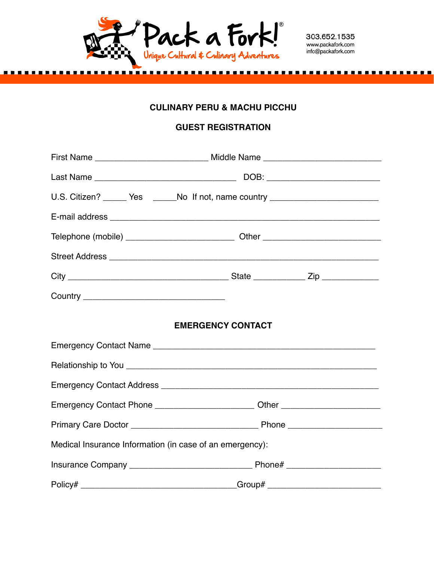

303.652.1535 www.packafork.com info@packafork.com

## **CULINARY PERU & MACHU PICCHU**

# **GUEST REGISTRATION**

| First Name _________________________________ Middle Name _______________________ |  |  |
|----------------------------------------------------------------------------------|--|--|
|                                                                                  |  |  |
| U.S. Citizen? ______ Yes ______No If not, name country _________________________ |  |  |
|                                                                                  |  |  |
|                                                                                  |  |  |
|                                                                                  |  |  |
|                                                                                  |  |  |
|                                                                                  |  |  |
| <b>EMERGENCY CONTACT</b>                                                         |  |  |
|                                                                                  |  |  |
|                                                                                  |  |  |
|                                                                                  |  |  |
| Emergency Contact Phone __________________________Other ________________________ |  |  |
|                                                                                  |  |  |
| Medical Insurance Information (in case of an emergency):                         |  |  |
|                                                                                  |  |  |
| Policy# __________________________________Group# _______________________________ |  |  |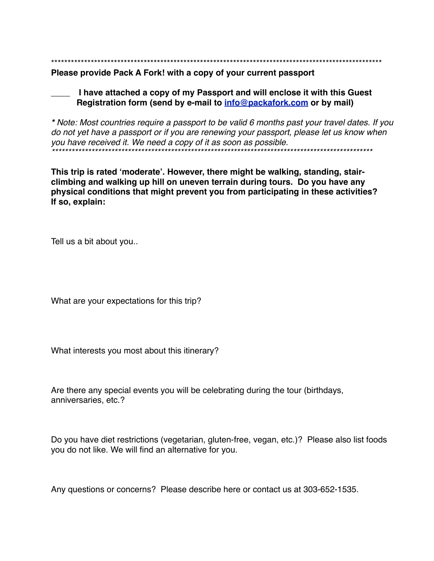Please provide Pack A Fork! with a copy of your current passport

I have attached a copy of my Passport and will enclose it with this Guest Registration form (send by e-mail to info@packafork.com or by mail)

\* Note: Most countries require a passport to be valid 6 months past your travel dates. If you do not yet have a passport or if you are renewing your passport, please let us know when you have received it. We need a copy of it as soon as possible. 

This trip is rated 'moderate'. However, there might be walking, standing, stairclimbing and walking up hill on uneven terrain during tours. Do you have any physical conditions that might prevent you from participating in these activities? If so, explain:

Tell us a bit about you..

What are your expectations for this trip?

What interests you most about this itinerary?

Are there any special events you will be celebrating during the tour (birthdays, anniversaries, etc.?

Do you have diet restrictions (vegetarian, gluten-free, vegan, etc.)? Please also list foods you do not like. We will find an alternative for you.

Any questions or concerns? Please describe here or contact us at 303-652-1535.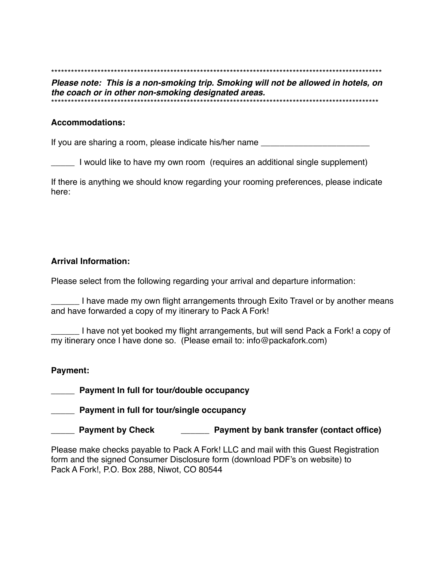Please note: This is a non-smoking trip. Smoking will not be allowed in hotels, on the coach or in other non-smoking designated areas. 

#### **Accommodations:**

If you are sharing a room, please indicate his/her name

I would like to have my own room (requires an additional single supplement)

If there is anything we should know regarding your rooming preferences, please indicate here:

## **Arrival Information:**

Please select from the following regarding your arrival and departure information:

I have made my own flight arrangements through Exito Travel or by another means and have forwarded a copy of my itinerary to Pack A Fork!

I have not yet booked my flight arrangements, but will send Pack a Fork! a copy of my itinerary once I have done so. (Please email to: info@packafork.com)

#### Payment:

Payment In full for tour/double occupancy

Payment in full for tour/single occupancy

\_\_\_\_\_\_ Payment by Check \_\_\_\_\_\_\_\_\_\_\_\_ Payment by bank transfer (contact office)

Please make checks payable to Pack A Fork! LLC and mail with this Guest Registration form and the signed Consumer Disclosure form (download PDF's on website) to Pack A Fork!, P.O. Box 288, Niwot, CO 80544